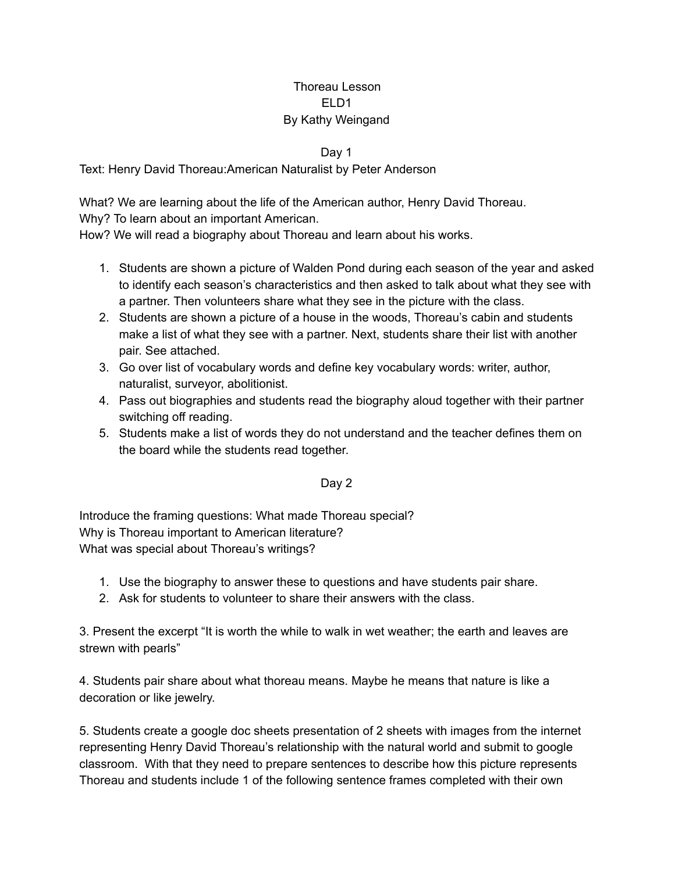## Thoreau Lesson ELD1 By Kathy Weingand

## Day 1

Text: Henry David Thoreau:American Naturalist by Peter Anderson

What? We are learning about the life of the American author, Henry David Thoreau. Why? To learn about an important American.

How? We will read a biography about Thoreau and learn about his works.

- 1. Students are shown a picture of Walden Pond during each season of the year and asked to identify each season's characteristics and then asked to talk about what they see with a partner. Then volunteers share what they see in the picture with the class.
- 2. Students are shown a picture of a house in the woods, Thoreau's cabin and students make a list of what they see with a partner. Next, students share their list with another pair. See attached.
- 3. Go over list of vocabulary words and define key vocabulary words: writer, author, naturalist, surveyor, abolitionist.
- 4. Pass out biographies and students read the biography aloud together with their partner switching off reading.
- 5. Students make a list of words they do not understand and the teacher defines them on the board while the students read together.

## Day 2

Introduce the framing questions: What made Thoreau special? Why is Thoreau important to American literature? What was special about Thoreau's writings?

- 1. Use the biography to answer these to questions and have students pair share.
- 2. Ask for students to volunteer to share their answers with the class.

3. Present the excerpt "It is worth the while to walk in wet weather; the earth and leaves are strewn with pearls"

4. Students pair share about what thoreau means. Maybe he means that nature is like a decoration or like jewelry.

5. Students create a google doc sheets presentation of 2 sheets with images from the internet representing Henry David Thoreau's relationship with the natural world and submit to google classroom. With that they need to prepare sentences to describe how this picture represents Thoreau and students include 1 of the following sentence frames completed with their own